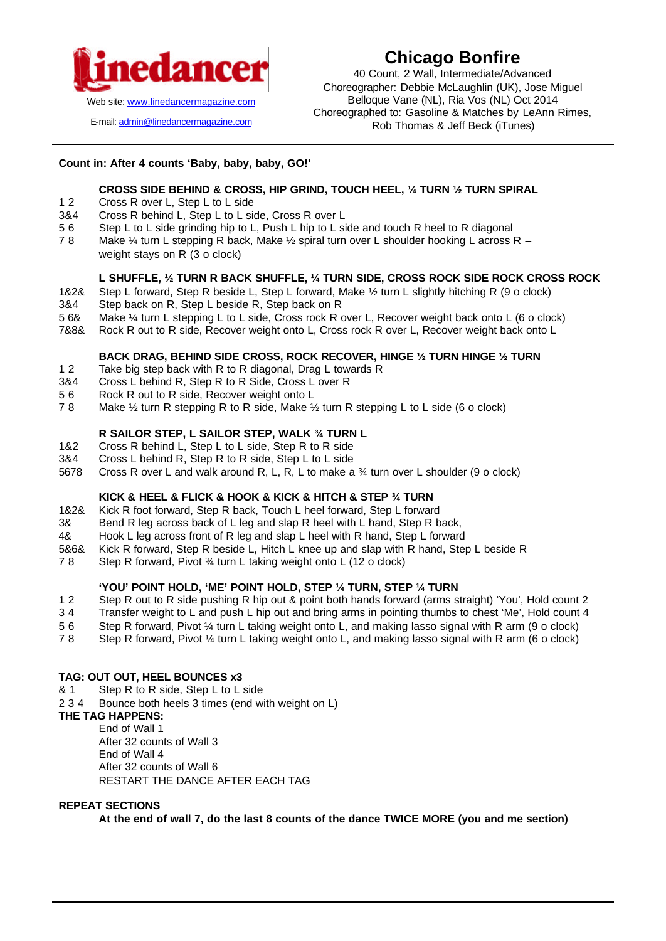

E-mail: admin@linedancermagazine.com

# **Chicago Bonfire**

40 Count, 2 Wall, Intermediate/Advanced Choreographer: Debbie McLaughlin (UK), Jose Miguel Belloque Vane (NL), Ria Vos (NL) Oct 2014 Choreographed to: Gasoline & Matches by LeAnn Rimes, Rob Thomas & Jeff Beck (iTunes)

# **Count in: After 4 counts 'Baby, baby, baby, GO!'**

# **CROSS SIDE BEHIND & CROSS, HIP GRIND, TOUCH HEEL, ¼ TURN ½ TURN SPIRAL**

- 1 2 Cross R over L, Step L to L side
- 3&4 Cross R behind L, Step L to L side, Cross R over L
- 5 6 Step L to L side grinding hip to L, Push L hip to L side and touch R heel to R diagonal
- 7 8 Make ¼ turn L stepping R back, Make ½ spiral turn over L shoulder hooking L across R weight stays on R (3 o clock)

#### **L SHUFFLE, ½ TURN R BACK SHUFFLE, ¼ TURN SIDE, CROSS ROCK SIDE ROCK CROSS ROCK**

- 1&2& Step L forward, Step R beside L, Step L forward, Make ½ turn L slightly hitching R (9 o clock)
- 3&4 Step back on R, Step L beside R, Step back on R
- 5 6& Make ¼ turn L stepping L to L side, Cross rock R over L, Recover weight back onto L (6 o clock)
- 7&8& Rock R out to R side, Recover weight onto L, Cross rock R over L, Recover weight back onto L

#### **BACK DRAG, BEHIND SIDE CROSS, ROCK RECOVER, HINGE ½ TURN HINGE ½ TURN**

- 1 2 Take big step back with R to R diagonal, Drag L towards R
- 3&4 Cross L behind R, Step R to R Side, Cross L over R
- 5 6 Rock R out to R side, Recover weight onto L
- 7 8 Make ½ turn R stepping R to R side, Make ½ turn R stepping L to L side (6 o clock)

# **R SAILOR STEP, L SAILOR STEP, WALK ¾ TURN L**

- 1&2 Cross R behind L, Step L to L side, Step R to R side
- 3&4 Cross L behind R, Step R to R side, Step L to L side
- 5678 Cross R over L and walk around R, L, R, L to make a ¾ turn over L shoulder (9 o clock)

#### **KICK & HEEL & FLICK & HOOK & KICK & HITCH & STEP ¾ TURN**

- 1&2& Kick R foot forward, Step R back, Touch L heel forward, Step L forward
- 3& Bend R leg across back of L leg and slap R heel with L hand, Step R back,
- 4& Hook L leg across front of R leg and slap L heel with R hand, Step L forward
- 5&6& Kick R forward, Step R beside L, Hitch L knee up and slap with R hand, Step L beside R
- 7 8 Step R forward, Pivot ¾ turn L taking weight onto L (12 o clock)

## **'YOU' POINT HOLD, 'ME' POINT HOLD, STEP ¼ TURN, STEP ¼ TURN**

- 1 2 Step R out to R side pushing R hip out & point both hands forward (arms straight) 'You', Hold count 2
- 3 4 Transfer weight to L and push L hip out and bring arms in pointing thumbs to chest 'Me', Hold count 4
- 5 6 Step R forward, Pivot ¼ turn L taking weight onto L, and making lasso signal with R arm (9 o clock)
- 7 8 Step R forward, Pivot ¼ turn L taking weight onto L, and making lasso signal with R arm (6 o clock)

#### **TAG: OUT OUT, HEEL BOUNCES x3**

- & 1 Step R to R side, Step L to L side
- 2 3 4 Bounce both heels 3 times (end with weight on L)

# **THE TAG HAPPENS:**

End of Wall 1 After 32 counts of Wall 3 End of Wall 4 After 32 counts of Wall 6 RESTART THE DANCE AFTER EACH TAG

#### **REPEAT SECTIONS**

**At the end of wall 7, do the last 8 counts of the dance TWICE MORE (you and me section)**